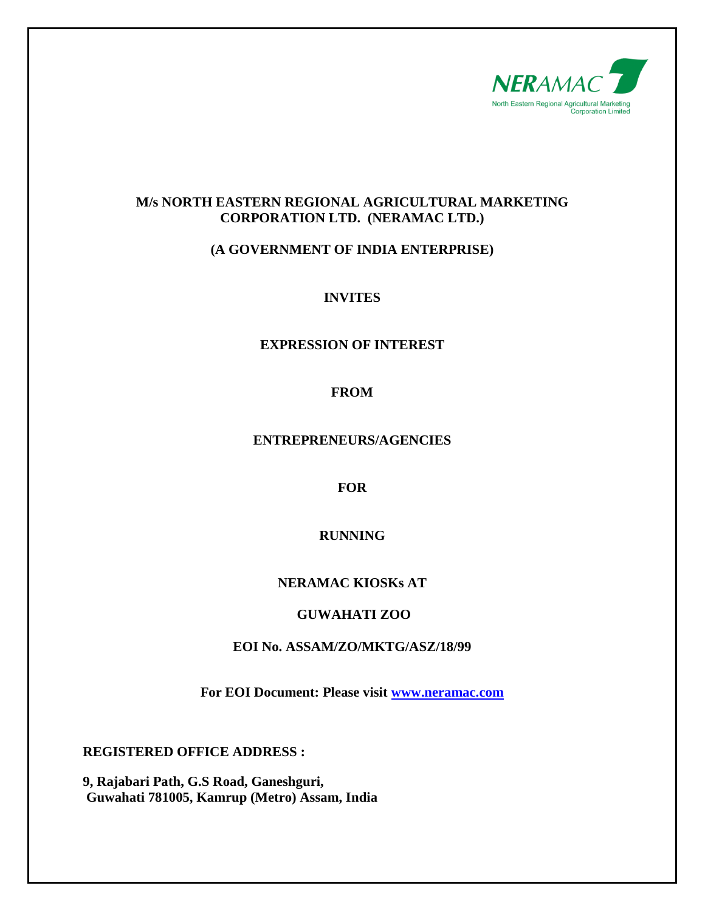

### **M/s NORTH EASTERN REGIONAL AGRICULTURAL MARKETING CORPORATION LTD. (NERAMAC LTD.)**

# **(A GOVERNMENT OF INDIA ENTERPRISE)**

# **INVITES**

# **EXPRESSION OF INTEREST**

# **FROM**

#### **ENTREPRENEURS/AGENCIES**

### **FOR**

# **RUNNING**

### **NERAMAC KIOSKs AT**

### **GUWAHATI ZOO**

### **EOI No. ASSAM/ZO/MKTG/ASZ/18/99**

**For EOI Document: Please visit [www.neramac.com](http://www.neramac.com/)**

**REGISTERED OFFICE ADDRESS :**

**9, Rajabari Path, G.S Road, Ganeshguri, Guwahati 781005, Kamrup (Metro) Assam, India**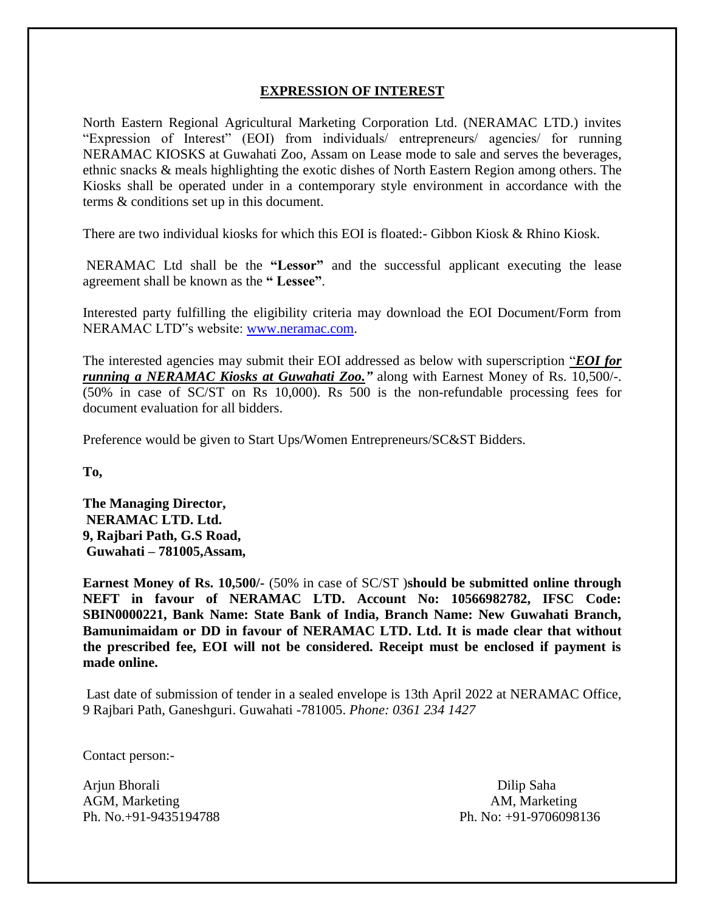#### **EXPRESSION OF INTEREST**

North Eastern Regional Agricultural Marketing Corporation Ltd. (NERAMAC LTD.) invites "Expression of Interest" (EOI) from individuals/ entrepreneurs/ agencies/ for running NERAMAC KIOSKS at Guwahati Zoo, Assam on Lease mode to sale and serves the beverages, ethnic snacks & meals highlighting the exotic dishes of North Eastern Region among others. The Kiosks shall be operated under in a contemporary style environment in accordance with the terms & conditions set up in this document.

There are two individual kiosks for which this EOI is floated:- Gibbon Kiosk & Rhino Kiosk.

NERAMAC Ltd shall be the **"Lessor"** and the successful applicant executing the lease agreement shall be known as the **" Lessee"**.

Interested party fulfilling the eligibility criteria may download the EOI Document/Form from NERAMAC LTD"s website: [www.neramac.com.](http://www.neramac.com/)

The interested agencies may submit their EOI addressed as below with superscription "*EOI for running a NERAMAC Kiosks at Guwahati Zoo."* along with Earnest Money of Rs. 10,500/-. (50% in case of SC/ST on Rs 10,000). Rs 500 is the non-refundable processing fees for document evaluation for all bidders.

Preference would be given to Start Ups/Women Entrepreneurs/SC&ST Bidders.

**To,** 

**The Managing Director, NERAMAC LTD. Ltd. 9, Rajbari Path, G.S Road, Guwahati – 781005,Assam,** 

**Earnest Money of Rs. 10,500/-** (50% in case of SC/ST )**should be submitted online through NEFT in favour of NERAMAC LTD. Account No: 10566982782, IFSC Code: SBIN0000221, Bank Name: State Bank of India, Branch Name: New Guwahati Branch, Bamunimaidam or DD in favour of NERAMAC LTD. Ltd. It is made clear that without the prescribed fee, EOI will not be considered. Receipt must be enclosed if payment is made online.**

Last date of submission of tender in a sealed envelope is 13th April 2022 at NERAMAC Office, 9 Rajbari Path, Ganeshguri. Guwahati -781005. *[Phone:](https://www.google.com/search?sxsrf=AOaemvIrYs_jy3Aml7nLKX56xRtZ81mb2A:1641815496735&q=neramac+phone&ludocid=9109862079005351258&sa=X&ved=2ahUKEwjUneCrj6f1AhVTSWwGHfIRDj4Q6BN6BAhCEAI) [0361 234 1427](https://www.google.com/search?q=neramac&oq=NERAMAC&aqs=chrome.0.35i39i355j46i39i175i199j0i512l8.1883j0j15&sourceid=chrome&ie=UTF-8)*

Contact person:-

Arjun Bhorali **Dilip Saha** AGM, Marketing **AGM, Marketing** AM, Marketing **AGM**, Marketing **AGM** 

Ph. No.+91-9435194788 Ph. No: +91-9706098136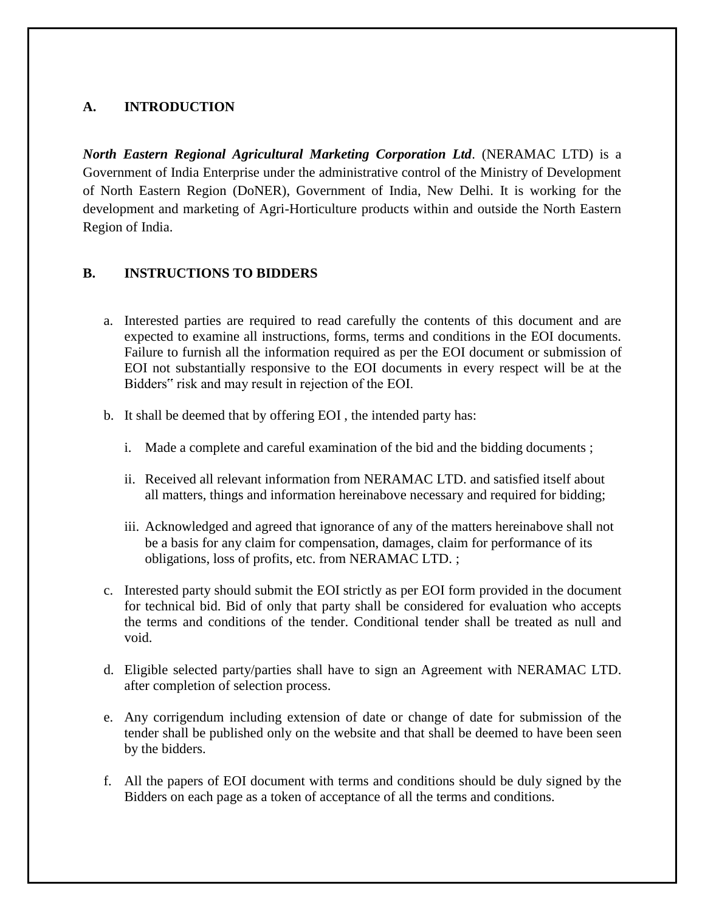# **A. INTRODUCTION**

*North Eastern Regional Agricultural Marketing Corporation Ltd*. (NERAMAC LTD) is a Government of India Enterprise under the administrative control of the Ministry of Development of North Eastern Region (DoNER), Government of India, New Delhi. It is working for the development and marketing of Agri-Horticulture products within and outside the North Eastern Region of India.

### **B. INSTRUCTIONS TO BIDDERS**

- a. Interested parties are required to read carefully the contents of this document and are expected to examine all instructions, forms, terms and conditions in the EOI documents. Failure to furnish all the information required as per the EOI document or submission of EOI not substantially responsive to the EOI documents in every respect will be at the Bidders" risk and may result in rejection of the EOI.
- b. It shall be deemed that by offering EOI , the intended party has:
	- i. Made a complete and careful examination of the bid and the bidding documents ;
	- ii. Received all relevant information from NERAMAC LTD. and satisfied itself about all matters, things and information hereinabove necessary and required for bidding;
	- iii. Acknowledged and agreed that ignorance of any of the matters hereinabove shall not be a basis for any claim for compensation, damages, claim for performance of its obligations, loss of profits, etc. from NERAMAC LTD. ;
- c. Interested party should submit the EOI strictly as per EOI form provided in the document for technical bid. Bid of only that party shall be considered for evaluation who accepts the terms and conditions of the tender. Conditional tender shall be treated as null and void.
- d. Eligible selected party/parties shall have to sign an Agreement with NERAMAC LTD. after completion of selection process.
- e. Any corrigendum including extension of date or change of date for submission of the tender shall be published only on the website and that shall be deemed to have been seen by the bidders.
- f. All the papers of EOI document with terms and conditions should be duly signed by the Bidders on each page as a token of acceptance of all the terms and conditions.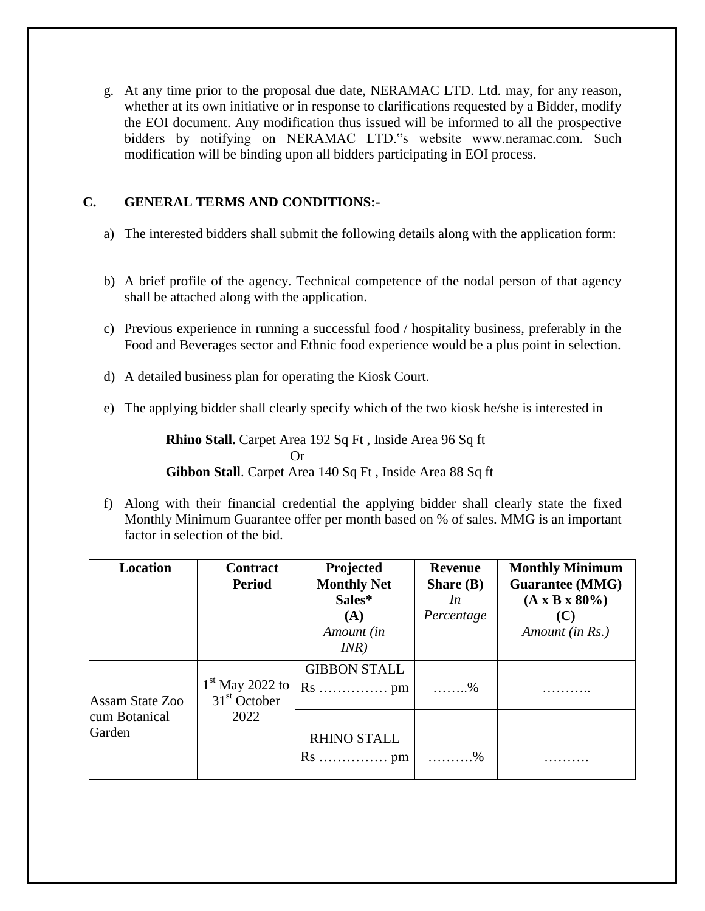g. At any time prior to the proposal due date, NERAMAC LTD. Ltd. may, for any reason, whether at its own initiative or in response to clarifications requested by a Bidder, modify the EOI document. Any modification thus issued will be informed to all the prospective bidders by notifying on NERAMAC LTD."s website www.neramac.com. Such modification will be binding upon all bidders participating in EOI process.

# **C. GENERAL TERMS AND CONDITIONS:-**

- a) The interested bidders shall submit the following details along with the application form:
- b) A brief profile of the agency. Technical competence of the nodal person of that agency shall be attached along with the application.
- c) Previous experience in running a successful food / hospitality business, preferably in the Food and Beverages sector and Ethnic food experience would be a plus point in selection.
- d) A detailed business plan for operating the Kiosk Court.
- e) The applying bidder shall clearly specify which of the two kiosk he/she is interested in

**Rhino Stall.** Carpet Area 192 Sq Ft , Inside Area 96 Sq ft Or **Gibbon Stall**. Carpet Area 140 Sq Ft , Inside Area 88 Sq ft

f) Along with their financial credential the applying bidder shall clearly state the fixed Monthly Minimum Guarantee offer per month based on % of sales. MMG is an important factor in selection of the bid.

| <b>Location</b>                            | <b>Contract</b><br><b>Period</b>            | Projected<br><b>Monthly Net</b><br>Sales*<br>(A)<br>Amount (in<br>INR)   | <b>Revenue</b><br>Share $(B)$<br>In<br>Percentage | <b>Monthly Minimum</b><br><b>Guarantee (MMG)</b><br>$(A \times B \times 80\%)$<br>Amount (in Rs.) |
|--------------------------------------------|---------------------------------------------|--------------------------------------------------------------------------|---------------------------------------------------|---------------------------------------------------------------------------------------------------|
| Assam State Zoo<br>cum Botanical<br>Garden | $1st$ May 2022 to<br>$31st$ October<br>2022 | <b>GIBBON STALL</b><br>$Rs \ldots \ldots \ldots \ldots \ldots \text{pm}$ | $\ldots \ldots \%$                                |                                                                                                   |
|                                            |                                             | <b>RHINO STALL</b><br>$Rs \ldots \ldots \ldots \ldots \ldots \text{pm}$  | . %                                               |                                                                                                   |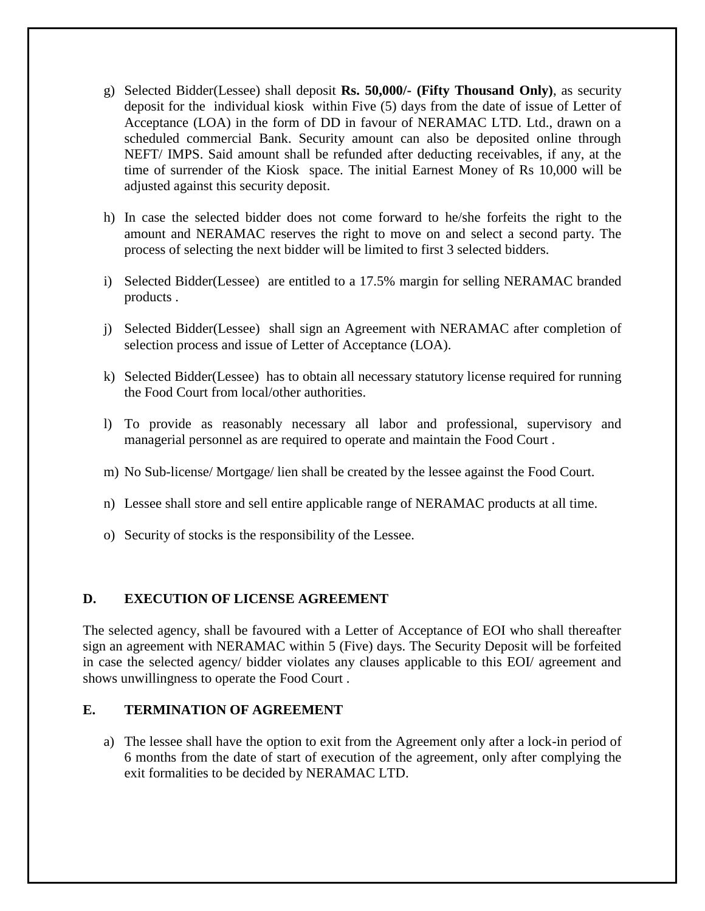- g) Selected Bidder(Lessee) shall deposit **Rs. 50,000/- (Fifty Thousand Only)**, as security deposit for the individual kiosk within Five (5) days from the date of issue of Letter of Acceptance (LOA) in the form of DD in favour of NERAMAC LTD. Ltd., drawn on a scheduled commercial Bank. Security amount can also be deposited online through NEFT/ IMPS. Said amount shall be refunded after deducting receivables, if any, at the time of surrender of the Kiosk space. The initial Earnest Money of Rs 10,000 will be adjusted against this security deposit.
- h) In case the selected bidder does not come forward to he/she forfeits the right to the amount and NERAMAC reserves the right to move on and select a second party. The process of selecting the next bidder will be limited to first 3 selected bidders.
- i) Selected Bidder(Lessee) are entitled to a 17.5% margin for selling NERAMAC branded products .
- j) Selected Bidder(Lessee) shall sign an Agreement with NERAMAC after completion of selection process and issue of Letter of Acceptance (LOA).
- k) Selected Bidder(Lessee) has to obtain all necessary statutory license required for running the Food Court from local/other authorities.
- l) To provide as reasonably necessary all labor and professional, supervisory and managerial personnel as are required to operate and maintain the Food Court .
- m) No Sub-license/ Mortgage/ lien shall be created by the lessee against the Food Court.
- n) Lessee shall store and sell entire applicable range of NERAMAC products at all time.
- o) Security of stocks is the responsibility of the Lessee.

### **D. EXECUTION OF LICENSE AGREEMENT**

The selected agency, shall be favoured with a Letter of Acceptance of EOI who shall thereafter sign an agreement with NERAMAC within 5 (Five) days. The Security Deposit will be forfeited in case the selected agency/ bidder violates any clauses applicable to this EOI/ agreement and shows unwillingness to operate the Food Court .

#### **E. TERMINATION OF AGREEMENT**

a) The lessee shall have the option to exit from the Agreement only after a lock-in period of 6 months from the date of start of execution of the agreement, only after complying the exit formalities to be decided by NERAMAC LTD.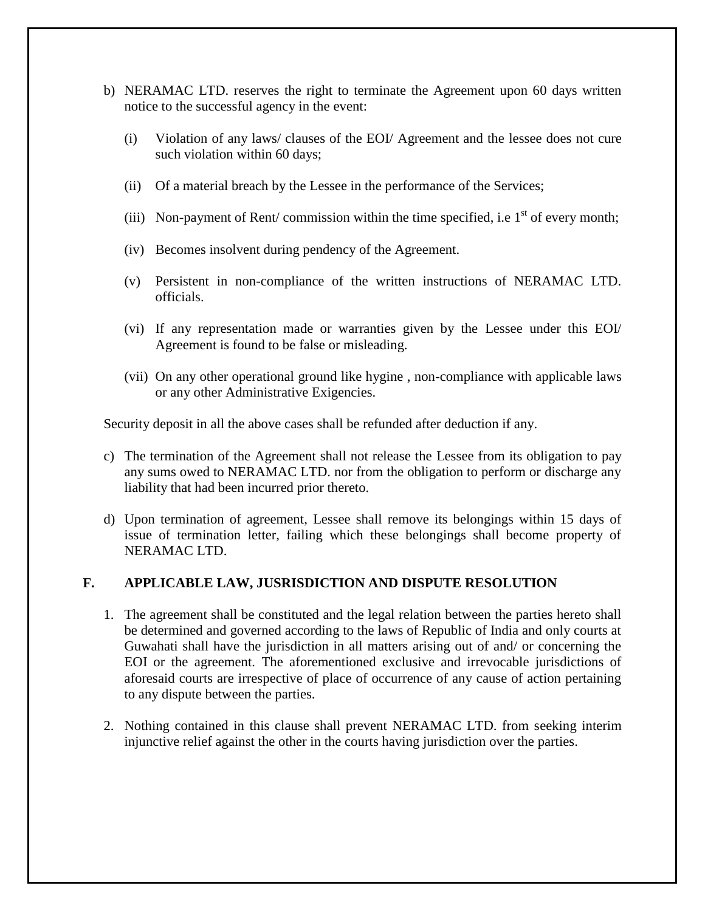- b) NERAMAC LTD. reserves the right to terminate the Agreement upon 60 days written notice to the successful agency in the event:
	- (i) Violation of any laws/ clauses of the EOI/ Agreement and the lessee does not cure such violation within 60 days;
	- (ii) Of a material breach by the Lessee in the performance of the Services;
	- (iii) Non-payment of Rent/ commission within the time specified, i.e  $1<sup>st</sup>$  of every month;
	- (iv) Becomes insolvent during pendency of the Agreement.
	- (v) Persistent in non-compliance of the written instructions of NERAMAC LTD. officials.
	- (vi) If any representation made or warranties given by the Lessee under this EOI/ Agreement is found to be false or misleading.
	- (vii) On any other operational ground like hygine , non-compliance with applicable laws or any other Administrative Exigencies.

Security deposit in all the above cases shall be refunded after deduction if any.

- c) The termination of the Agreement shall not release the Lessee from its obligation to pay any sums owed to NERAMAC LTD. nor from the obligation to perform or discharge any liability that had been incurred prior thereto.
- d) Upon termination of agreement, Lessee shall remove its belongings within 15 days of issue of termination letter, failing which these belongings shall become property of NERAMAC LTD.

### **F. APPLICABLE LAW, JUSRISDICTION AND DISPUTE RESOLUTION**

- 1. The agreement shall be constituted and the legal relation between the parties hereto shall be determined and governed according to the laws of Republic of India and only courts at Guwahati shall have the jurisdiction in all matters arising out of and/ or concerning the EOI or the agreement. The aforementioned exclusive and irrevocable jurisdictions of aforesaid courts are irrespective of place of occurrence of any cause of action pertaining to any dispute between the parties.
- 2. Nothing contained in this clause shall prevent NERAMAC LTD. from seeking interim injunctive relief against the other in the courts having jurisdiction over the parties.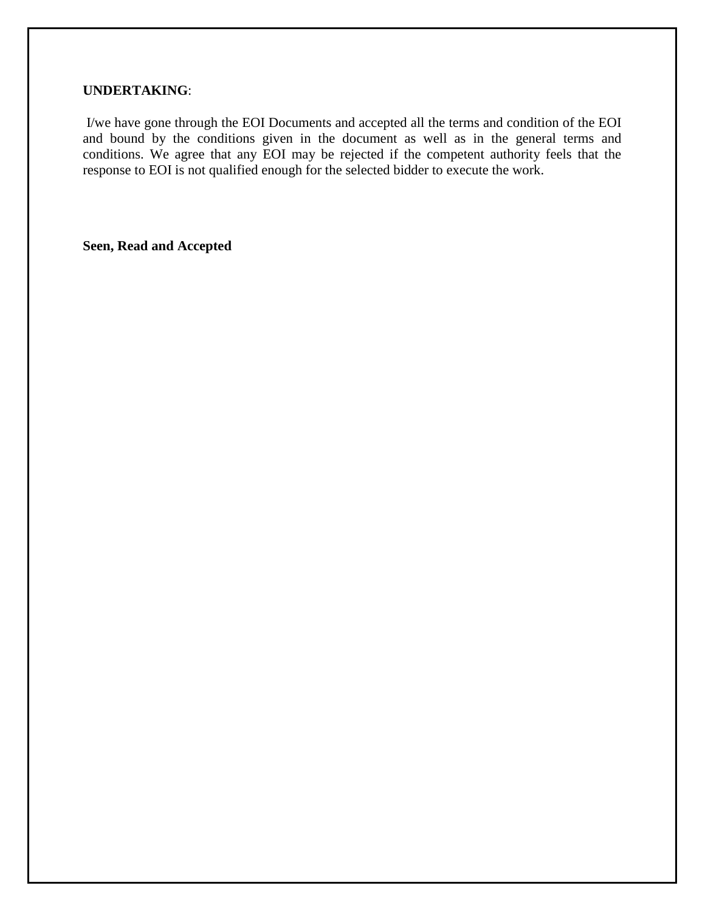#### **UNDERTAKING**:

I/we have gone through the EOI Documents and accepted all the terms and condition of the EOI and bound by the conditions given in the document as well as in the general terms and conditions. We agree that any EOI may be rejected if the competent authority feels that the response to EOI is not qualified enough for the selected bidder to execute the work.

**Seen, Read and Accepted**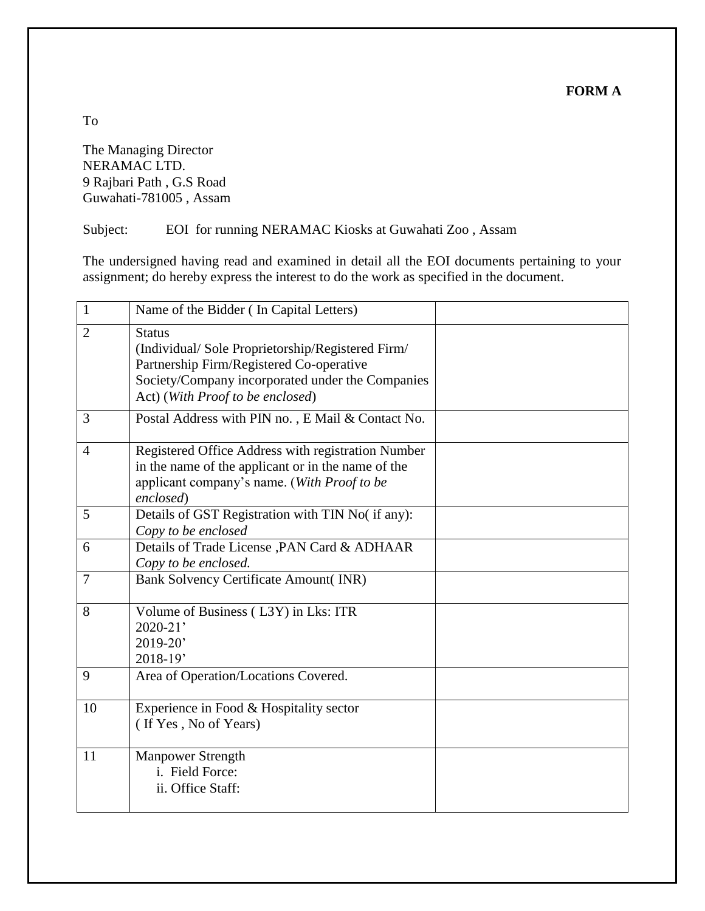**FORM A**

The Managing Director NERAMAC LTD. 9 Rajbari Path , G.S Road Guwahati-781005 , Assam

Subject: EOI for running NERAMAC Kiosks at Guwahati Zoo , Assam

The undersigned having read and examined in detail all the EOI documents pertaining to your assignment; do hereby express the interest to do the work as specified in the document.

| $\mathbf{1}$   | Name of the Bidder (In Capital Letters)                                                                                                                                                               |  |
|----------------|-------------------------------------------------------------------------------------------------------------------------------------------------------------------------------------------------------|--|
| $\overline{2}$ | <b>Status</b><br>(Individual/Sole Proprietorship/Registered Firm/<br>Partnership Firm/Registered Co-operative<br>Society/Company incorporated under the Companies<br>Act) (With Proof to be enclosed) |  |
| 3              | Postal Address with PIN no., E Mail & Contact No.                                                                                                                                                     |  |
| $\overline{4}$ | Registered Office Address with registration Number<br>in the name of the applicant or in the name of the<br>applicant company's name. (With Proof to be<br>enclosed)                                  |  |
| 5              | Details of GST Registration with TIN No( if any):<br>Copy to be enclosed                                                                                                                              |  |
| 6              | Details of Trade License , PAN Card & ADHAAR<br>Copy to be enclosed.                                                                                                                                  |  |
| $\tau$         | <b>Bank Solvency Certificate Amount(INR)</b>                                                                                                                                                          |  |
| 8              | Volume of Business (L3Y) in Lks: ITR<br>$2020 - 21'$<br>$2019 - 20'$<br>2018-19'                                                                                                                      |  |
| 9              | Area of Operation/Locations Covered.                                                                                                                                                                  |  |
| 10             | Experience in Food & Hospitality sector<br>(If Yes, No of Years)                                                                                                                                      |  |
| 11             | <b>Manpower Strength</b><br>i. Field Force:<br>ii. Office Staff:                                                                                                                                      |  |

To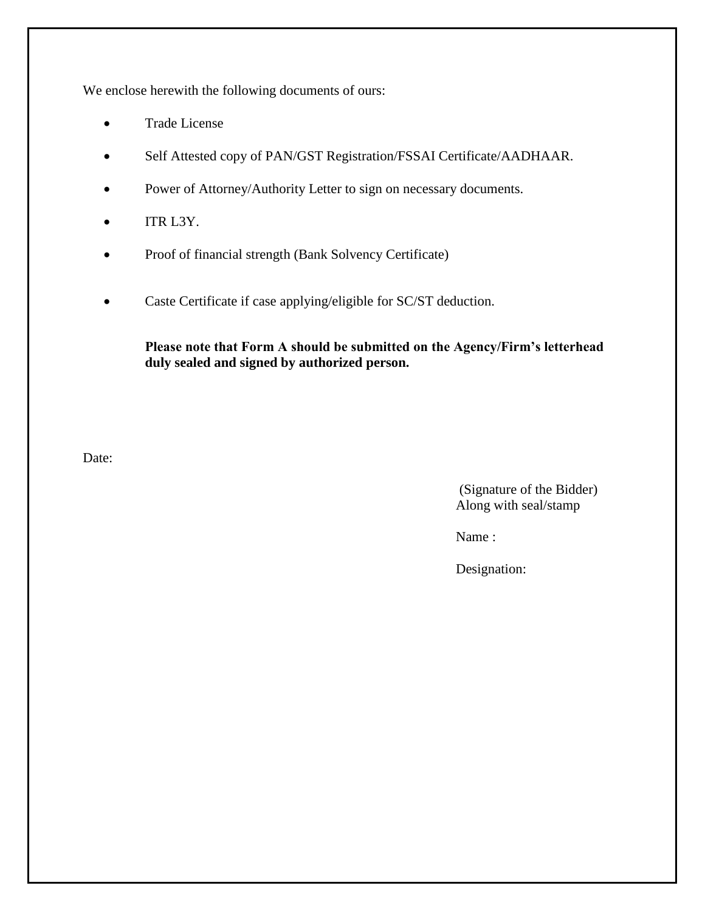We enclose herewith the following documents of ours:

- Trade License
- Self Attested copy of PAN/GST Registration/FSSAI Certificate/AADHAAR.
- Power of Attorney/Authority Letter to sign on necessary documents.
- $\bullet$  ITR L3Y.
- Proof of financial strength (Bank Solvency Certificate)
- Caste Certificate if case applying/eligible for SC/ST deduction.

**Please note that Form A should be submitted on the Agency/Firm's letterhead duly sealed and signed by authorized person.**

Date:

(Signature of the Bidder) Along with seal/stamp

Name :

Designation: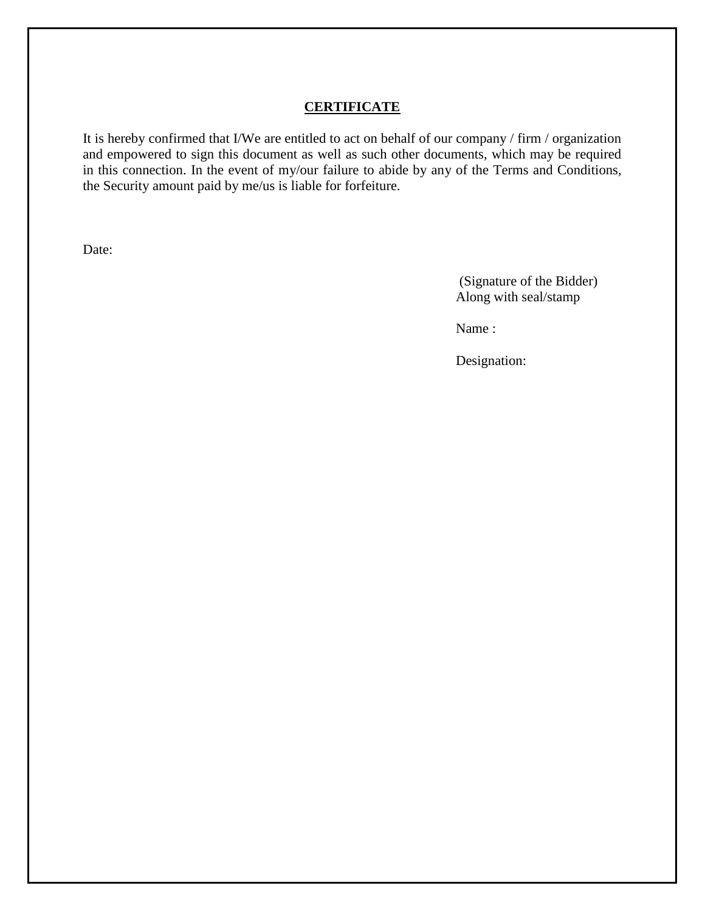#### **CERTIFICATE**

It is hereby confirmed that I/We are entitled to act on behalf of our company / firm / organization and empowered to sign this document as well as such other documents, which may be required in this connection. In the event of my/our failure to abide by any of the Terms and Conditions, the Security amount paid by me/us is liable for forfeiture.

Date:

(Signature of the Bidder) Along with seal/stamp

Name :

Designation: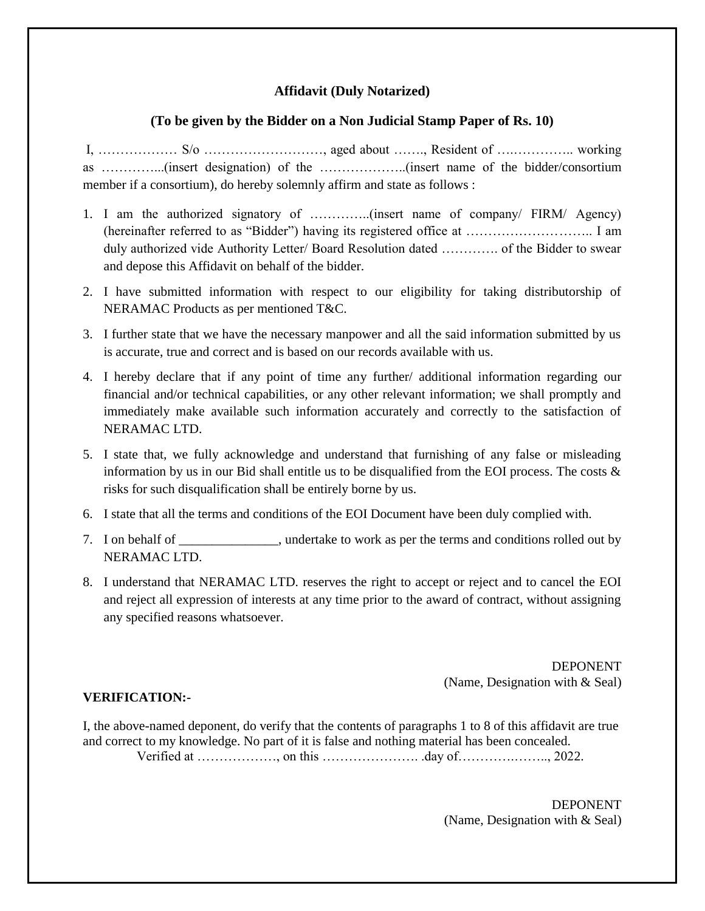#### **Affidavit (Duly Notarized)**

#### **(To be given by the Bidder on a Non Judicial Stamp Paper of Rs. 10)**

I, ……………… S/o ………………………, aged about ……., Resident of ….………….. working as …………...(insert designation) of the ………………..(insert name of the bidder/consortium member if a consortium), do hereby solemnly affirm and state as follows :

- 1. I am the authorized signatory of …………..(insert name of company/ FIRM/ Agency) (hereinafter referred to as "Bidder") having its registered office at ……………………….. I am duly authorized vide Authority Letter/ Board Resolution dated …………. of the Bidder to swear and depose this Affidavit on behalf of the bidder.
- 2. I have submitted information with respect to our eligibility for taking distributorship of NERAMAC Products as per mentioned T&C.
- 3. I further state that we have the necessary manpower and all the said information submitted by us is accurate, true and correct and is based on our records available with us.
- 4. I hereby declare that if any point of time any further/ additional information regarding our financial and/or technical capabilities, or any other relevant information; we shall promptly and immediately make available such information accurately and correctly to the satisfaction of NERAMAC LTD.
- 5. I state that, we fully acknowledge and understand that furnishing of any false or misleading information by us in our Bid shall entitle us to be disqualified from the EOI process. The costs & risks for such disqualification shall be entirely borne by us.
- 6. I state that all the terms and conditions of the EOI Document have been duly complied with.
- 7. I on behalf of  $\blacksquare$ , undertake to work as per the terms and conditions rolled out by NERAMAC LTD.
- 8. I understand that NERAMAC LTD. reserves the right to accept or reject and to cancel the EOI and reject all expression of interests at any time prior to the award of contract, without assigning any specified reasons whatsoever.

DEPONENT (Name, Designation with & Seal)

#### **VERIFICATION:-**

I, the above-named deponent, do verify that the contents of paragraphs 1 to 8 of this affidavit are true and correct to my knowledge. No part of it is false and nothing material has been concealed.

Verified at ………………, on this …………………. .day of………….…….., 2022.

DEPONENT (Name, Designation with & Seal)